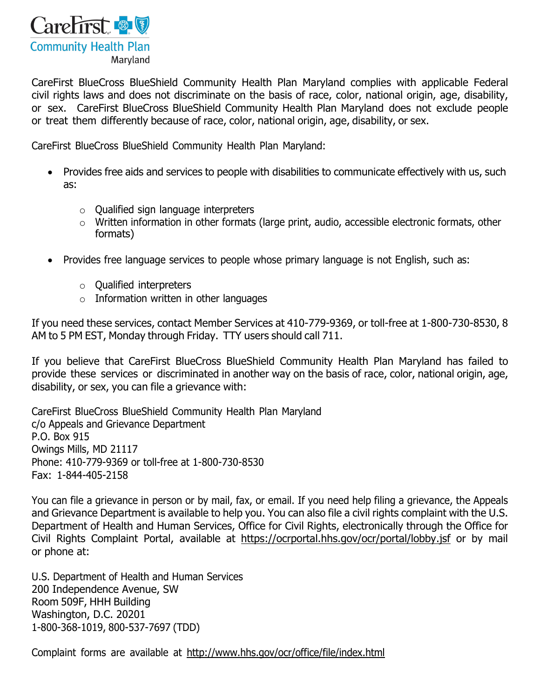

CareFirst BlueCross BlueShield Community Health Plan Maryland complies with applicable Federal civil rights laws and does not discriminate on the basis of race, color, national origin, age, disability, or sex. CareFirst BlueCross BlueShield Community Health Plan Maryland does not exclude people or treat them differently because of race, color, national origin, age, disability, or sex.

CareFirst BlueCross BlueShield Community Health Plan Maryland:

- Provides free aids and services to people with disabilities to communicate effectively with us, such as:
	- o Qualified sign language interpreters
	- o Written information in other formats (large print, audio, accessible electronic formats, other formats)
- Provides free language services to people whose primary language is not English, such as:
	- o Qualified interpreters
	- $\circ$  Information written in other languages

If you need these services, contact Member Services at 410-779-9369, or toll-free at 1-800-730-8530, 8 AM to 5 PM EST, Monday through Friday. TTY users should call 711.

If you believe that CareFirst BlueCross BlueShield Community Health Plan Maryland has failed to provide these services or discriminated in another way on the basis of race, color, national origin, age, disability, or sex, you can file a grievance with:

CareFirst BlueCross BlueShield Community Health Plan Maryland c/o Appeals and Grievance Department P.O. Box 915 Owings Mills, MD 21117 Phone: 410-779-9369 or toll-free at 1-800-730-8530 Fax: 1-844-405-2158

You can file a grievance in person or by mail, fax, or email. If you need help filing a grievance, the Appeals and Grievance Department is available to help you. You can also file a civil rights complaint with the U.S. Department of Health and Human Services, Office for Civil Rights, electronically through the Office for Civil Rights Complaint Portal, available at <https://ocrportal.hhs.gov/ocr/portal/lobby.jsf> or by mail or phone at:

U.S. Department of Health and Human Services 200 Independence Avenue, SW Room 509F, HHH Building Washington, D.C. 20201 1-800-368-1019, 800-537-7697 (TDD)

Complaint forms are available at <http://www.hhs.gov/ocr/office/file/index.html>